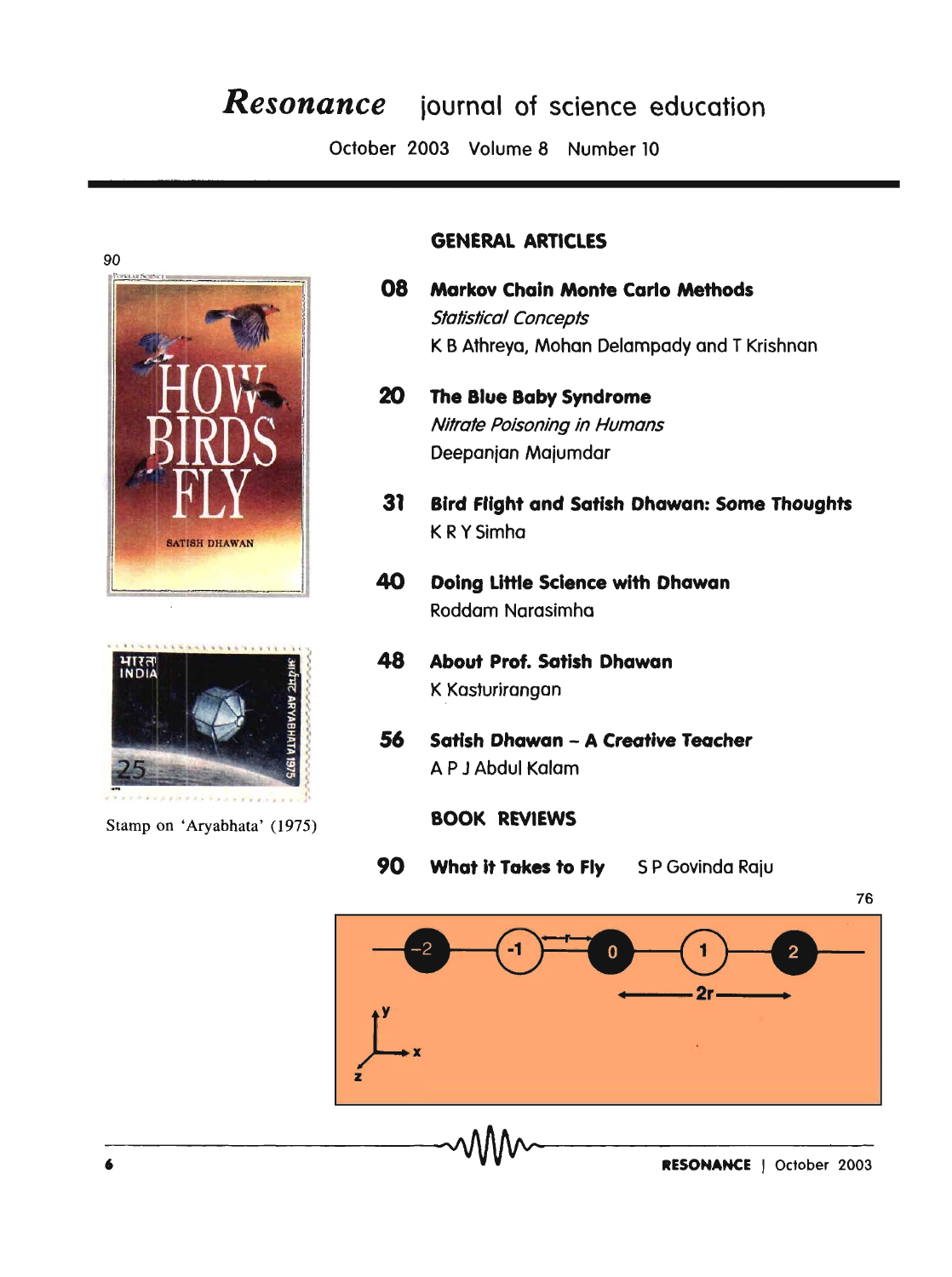## *Resonance* iournal of science education

October 2003 Volume 8 Number 10





Stamp on 'Aryabhata' (1975)

## GENERAL ARTICLES

- 08 Markov Chain Monte Carlo Methods Statistical Concepts K B Athreya, Mohan Oelampady and T Krishnan
- 20 The Blue Baby Syndrome Nitrate Poisoning in Humans Oeepanjan Majumdar
- 31 Bird Flight and Satlsh Dhawan: Some Thoughts K RYSimha
- 40 Doing Little Science with Dhawan Roddam Narasimha
- 48 About Prof. Satish Dhawan K Kasturirangan
- 56 Satish Dhawan A Creative Teacher A P J Abdul Kalam
	- BOOK REVIEWS
- 90 What it Takes to Fly SP Govinda Raju